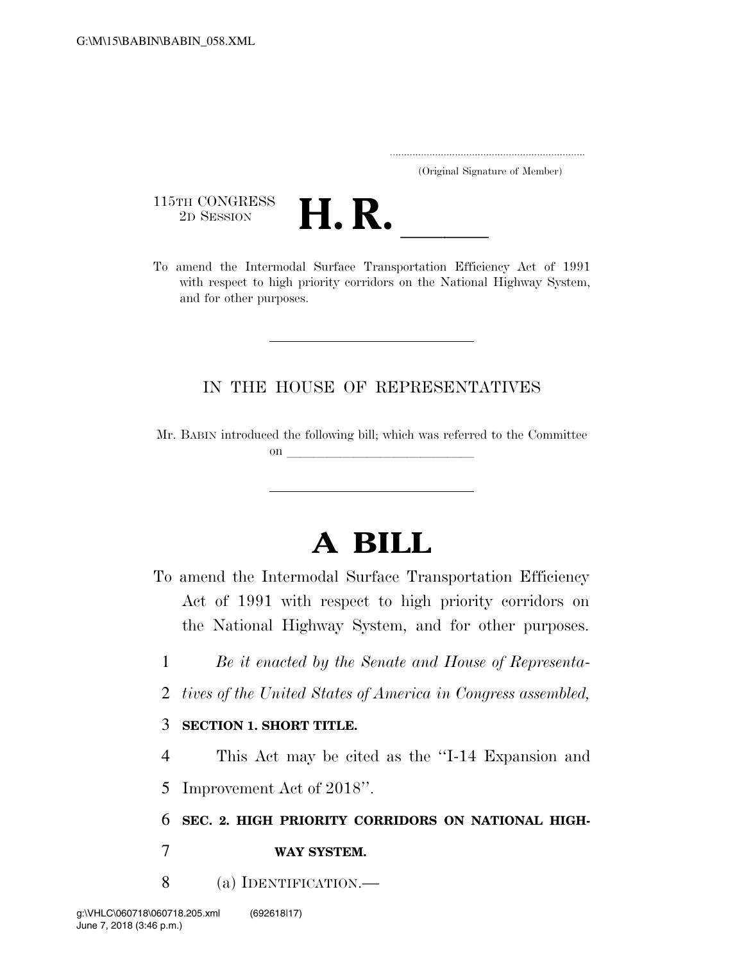..................................................................... (Original Signature of Member)

115TH CONGRESS<br>2D SESSION



115TH CONGRESS<br>
2D SESSION<br>
To amend the Intermodal Surface Transportation Efficiency Act of 1991 with respect to high priority corridors on the National Highway System, and for other purposes.

## IN THE HOUSE OF REPRESENTATIVES

Mr. BABIN introduced the following bill; which was referred to the Committee on  $\overline{\qquad \qquad }$ 

## **A BILL**

To amend the Intermodal Surface Transportation Efficiency Act of 1991 with respect to high priority corridors on the National Highway System, and for other purposes.

1 *Be it enacted by the Senate and House of Representa-*

2 *tives of the United States of America in Congress assembled,* 

## 3 **SECTION 1. SHORT TITLE.**

4 This Act may be cited as the ''I-14 Expansion and 5 Improvement Act of 2018''.

6 **SEC. 2. HIGH PRIORITY CORRIDORS ON NATIONAL HIGH-**

7 **WAY SYSTEM.** 

8 (a) IDENTIFICATION.—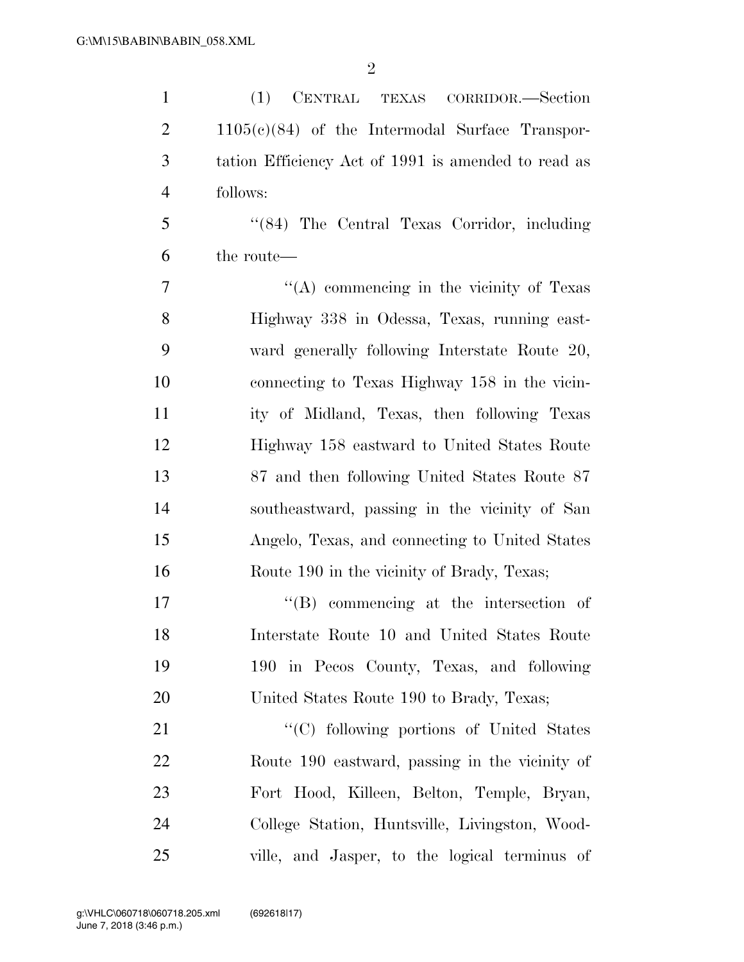| $\mathbf{1}$   | (1)<br>CENTRAL TEXAS CORRIDOR.-Section              |
|----------------|-----------------------------------------------------|
| $\overline{2}$ | $1105(c)(84)$ of the Intermodal Surface Transpor-   |
| 3              | tation Efficiency Act of 1991 is amended to read as |
| $\overline{4}$ | follows:                                            |
| 5              | "(84) The Central Texas Corridor, including         |
| 6              | the route—                                          |
| 7              | "(A) commencing in the vicinity of Texas            |
| 8              | Highway 338 in Odessa, Texas, running east-         |
| 9              | ward generally following Interstate Route 20,       |
| 10             | connecting to Texas Highway 158 in the vicin-       |
| 11             | ity of Midland, Texas, then following Texas         |
| 12             | Highway 158 eastward to United States Route         |
| 13             | 87 and then following United States Route 87        |
| 14             | southeastward, passing in the vicinity of San       |
| 15             | Angelo, Texas, and connecting to United States      |
| 16             | Route 190 in the vicinity of Brady, Texas;          |
| 17             | $\lq\lq (B)$ commencing at the intersection of      |
| 18             | Interstate Route 10 and United States Route         |
| 19             | 190 in Pecos County, Texas, and following           |
| 20             | United States Route 190 to Brady, Texas;            |
| 21             | "(C) following portions of United States            |
| 22             | Route 190 eastward, passing in the vicinity of      |
| 23             | Fort Hood, Killeen, Belton, Temple, Bryan,          |
| 24             | College Station, Huntsville, Livingston, Wood-      |
| 25             | ville, and Jasper, to the logical terminus of       |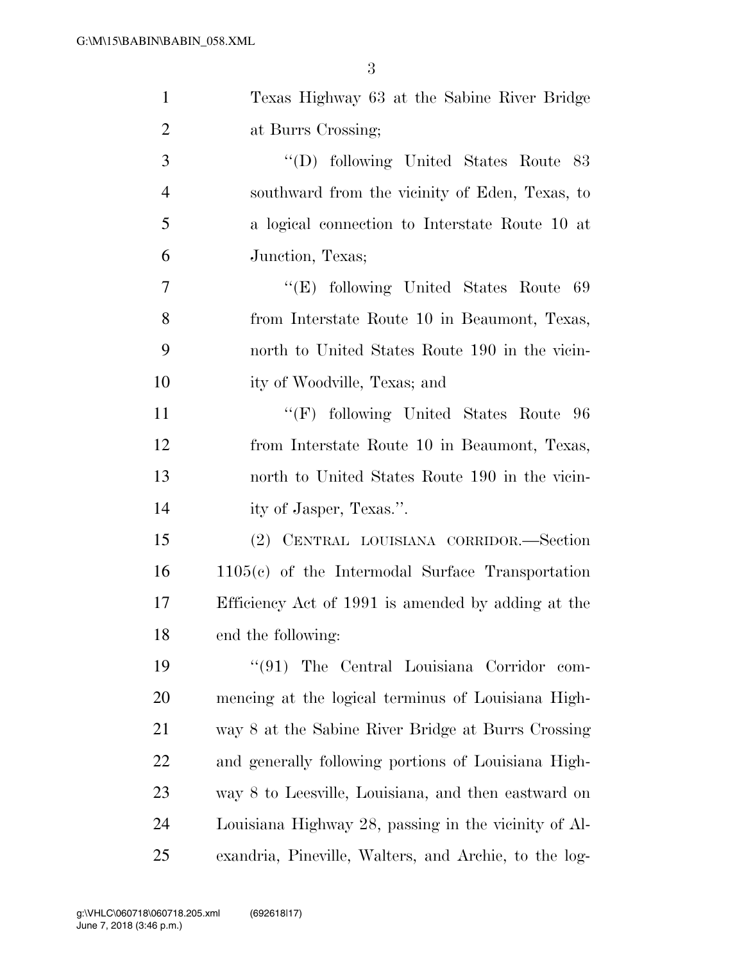| $\mathbf{1}$   | Texas Highway 63 at the Sabine River Bridge           |
|----------------|-------------------------------------------------------|
| $\overline{2}$ | at Burrs Crossing;                                    |
| 3              | "(D) following United States Route 83                 |
| $\overline{4}$ | southward from the vicinity of Eden, Texas, to        |
| 5              | a logical connection to Interstate Route 10 at        |
| 6              | Junction, Texas;                                      |
| 7              | "(E) following United States Route<br>-69             |
| 8              | from Interstate Route 10 in Beaumont, Texas,          |
| 9              | north to United States Route 190 in the vicin-        |
| 10             | ity of Woodville, Texas; and                          |
| 11             | "(F) following United States Route 96                 |
| 12             | from Interstate Route 10 in Beaumont, Texas,          |
| 13             | north to United States Route 190 in the vicin-        |
| 14             | ity of Jasper, Texas.".                               |
| 15             | (2) CENTRAL LOUISIANA CORRIDOR.-Section               |
| 16             | $1105(c)$ of the Intermodal Surface Transportation    |
| 17             | Efficiency Act of 1991 is amended by adding at the    |
| 18             | end the following:                                    |
| 19             | $\lq(91)$ The Central Louisiana Corridor<br>com-      |
| 20             | mencing at the logical terminus of Louisiana High-    |
| 21             | way 8 at the Sabine River Bridge at Burrs Crossing    |
| 22             | and generally following portions of Louisiana High-   |
| 23             | way 8 to Leesville, Louisiana, and then eastward on   |
| 24             | Louisiana Highway 28, passing in the vicinity of Al-  |
| 25             | exandria, Pineville, Walters, and Archie, to the log- |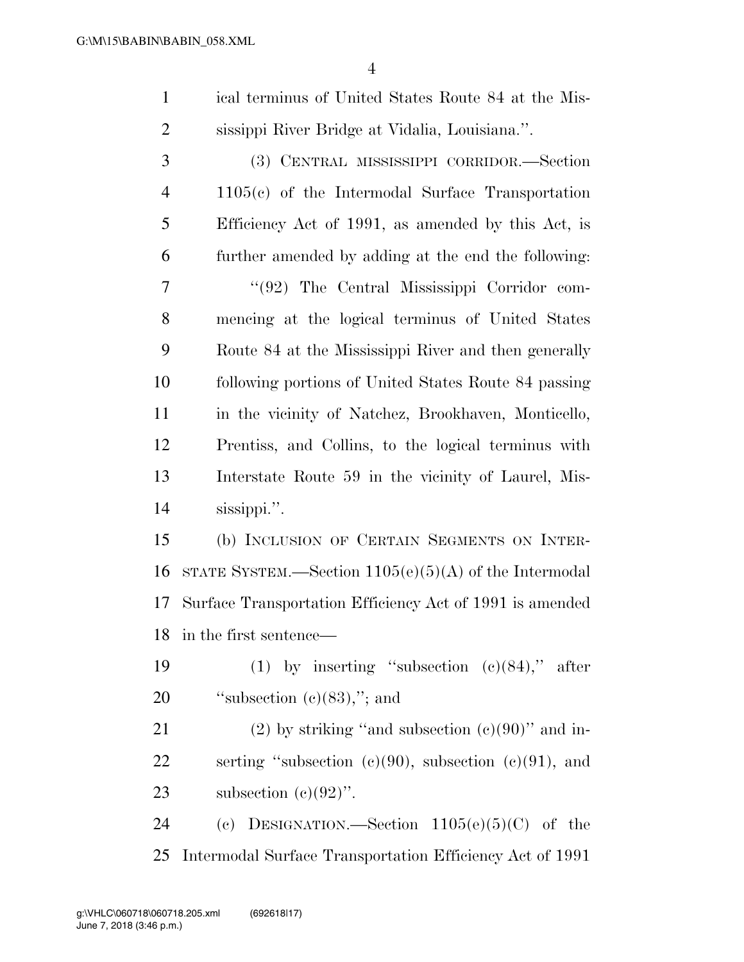| $\mathbf{1}$   | ical terminus of United States Route 84 at the Mis-      |
|----------------|----------------------------------------------------------|
| $\overline{c}$ | sissippi River Bridge at Vidalia, Louisiana.".           |
| 3              | (3) CENTRAL MISSISSIPPI CORRIDOR.—Section                |
| 4              | $1105(c)$ of the Intermodal Surface Transportation       |
| 5              | Efficiency Act of 1991, as amended by this Act, is       |
| 6              | further amended by adding at the end the following:      |
| 7              | "(92) The Central Mississippi Corridor com-              |
| 8              | mencing at the logical terminus of United States         |
| 9              | Route 84 at the Mississippi River and then generally     |
| 10             | following portions of United States Route 84 passing     |
| 11             | in the vicinity of Natchez, Brookhaven, Monticello,      |
| 12             | Prentiss, and Collins, to the logical terminus with      |
| 13             | Interstate Route 59 in the vicinity of Laurel, Mis-      |
| 14             | sissippi.".                                              |
| 15             | (b) INCLUSION OF CERTAIN SEGMENTS ON INTER-              |
| 16             | STATE SYSTEM.—Section $1105(e)(5)(A)$ of the Intermodal  |
| 17             | Surface Transportation Efficiency Act of 1991 is amended |
|                | 18 in the first sentence—                                |
| 19             | (1) by inserting "subsection $(c)(84)$ ," after          |
| 20             | "subsection $(e)(83)$ ,"; and                            |
| 21             | $(2)$ by striking "and subsection $(e)(90)$ " and in-    |
| 22             | serting "subsection (c)(90), subsection (c)(91), and     |
| 23             | subsection $(c)(92)$ ".                                  |
|                |                                                          |

 (c) DESIGNATION.—Section 1105(e)(5)(C) of the Intermodal Surface Transportation Efficiency Act of 1991